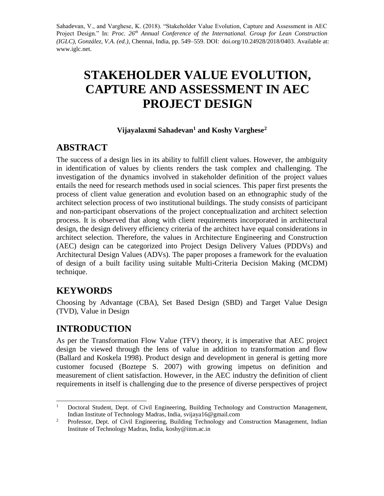Sahadevan, V., and Varghese, K. (2018). "Stakeholder Value Evolution, Capture and Assessment in AEC Project Design." In: *Proc. 26th Annual Conference of the International. Group for Lean Construction (IGLC), González, V.A. (ed.)*, Chennai, India, pp. 549–559. DOI: doi.org/10.24928/2018/0403. Available at: www.iglc.net.

# **STAKEHOLDER VALUE EVOLUTION, CAPTURE AND ASSESSMENT IN AEC PROJECT DESIGN**

#### **Vijayalaxmi Sahadevan<sup>1</sup> and Koshy Varghese<sup>2</sup>**

# **ABSTRACT**

The success of a design lies in its ability to fulfill client values. However, the ambiguity in identification of values by clients renders the task complex and challenging. The investigation of the dynamics involved in stakeholder definition of the project values entails the need for research methods used in social sciences. This paper first presents the process of client value generation and evolution based on an ethnographic study of the architect selection process of two institutional buildings. The study consists of participant and non-participant observations of the project conceptualization and architect selection process. It is observed that along with client requirements incorporated in architectural design, the design delivery efficiency criteria of the architect have equal considerations in architect selection. Therefore, the values in Architecture Engineering and Construction (AEC) design can be categorized into Project Design Delivery Values (PDDVs) and Architectural Design Values (ADVs). The paper proposes a framework for the evaluation of design of a built facility using suitable Multi-Criteria Decision Making (MCDM) technique.

# **KEYWORDS**

Choosing by Advantage (CBA), Set Based Design (SBD) and Target Value Design (TVD), Value in Design

# **INTRODUCTION**

As per the Transformation Flow Value (TFV) theory, it is imperative that AEC project design be viewed through the lens of value in addition to transformation and flow (Ballard and Koskela 1998). Product design and development in general is getting more customer focused (Boztepe S. 2007) with growing impetus on definition and measurement of client satisfaction. However, in the AEC industry the definition of client requirements in itself is challenging due to the presence of diverse perspectives of project

 $\mathbf{1}$ <sup>1</sup> Doctoral Student, Dept. of Civil Engineering, Building Technology and Construction Management, Indian Institute of Technology Madras, India, svijaya16@gmail.com

<sup>&</sup>lt;sup>2</sup> Professor, Dept. of Civil Engineering, Building Technology and Construction Management, Indian Institute of Technology Madras, India, koshy@iitm.ac.in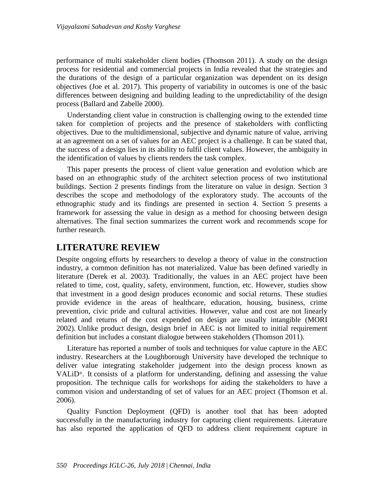performance of multi stakeholder client bodies (Thomson 2011). A study on the design process for residential and commercial projects in India revealed that the strategies and the durations of the design of a particular organization was dependent on its design objectives (Joe et al. 2017). This property of variability in outcomes is one of the basic differences between designing and building leading to the unpredictability of the design process (Ballard and Zabelle 2000).

Understanding client value in construction is challenging owing to the extended time taken for completion of projects and the presence of stakeholders with conflicting objectives. Due to the multidimensional, subjective and dynamic nature of value, arriving at an agreement on a set of values for an AEC project is a challenge. It can be stated that, the success of a design lies in its ability to fulfil client values. However, the ambiguity in the identification of values by clients renders the task complex.

This paper presents the process of client value generation and evolution which are based on an ethnographic study of the architect selection process of two institutional buildings. Section 2 presents findings from the literature on value in design. Section 3 describes the scope and methodology of the exploratory study. The accounts of the ethnographic study and its findings are presented in section 4. Section 5 presents a framework for assessing the value in design as a method for choosing between design alternatives. The final section summarizes the current work and recommends scope for further research.

### **LITERATURE REVIEW**

Despite ongoing efforts by researchers to develop a theory of value in the construction industry, a common definition has not materialized. Value has been defined variedly in literature (Derek et al. 2003). Traditionally, the values in an AEC project have been related to time, cost, quality, safety, environment, function, etc. However, studies show that investment in a good design produces economic and social returns. These studies provide evidence in the areas of healthcare, education, housing, business, crime prevention, civic pride and cultural activities. However, value and cost are not linearly related and returns of the cost expended on design are usually intangible (MORI 2002). Unlike product design, design brief in AEC is not limited to initial requirement definition but includes a constant dialogue between stakeholders (Thomson 2011).

Literature has reported a number of tools and techniques for value capture in the AEC industry. Researchers at the Loughborough University have developed the technique to deliver value integrating stakeholder judgement into the design process known as VALiD®. It consists of a platform for understanding, defining and assessing the value proposition. The technique calls for workshops for aiding the stakeholders to have a common vision and understanding of set of values for an AEC project (Thomson et al. 2006).

Quality Function Deployment (QFD) is another tool that has been adopted successfully in the manufacturing industry for capturing client requirements. Literature has also reported the application of QFD to address client requirement capture in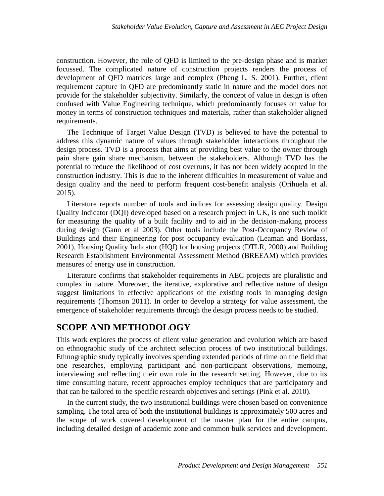construction. However, the role of QFD is limited to the pre-design phase and is market focussed. The complicated nature of construction projects renders the process of development of QFD matrices large and complex (Pheng L. S. 2001). Further, client requirement capture in QFD are predominantly static in nature and the model does not provide for the stakeholder subjectivity. Similarly, the concept of value in design is often confused with Value Engineering technique, which predominantly focuses on value for money in terms of construction techniques and materials, rather than stakeholder aligned requirements.

The Technique of Target Value Design (TVD) is believed to have the potential to address this dynamic nature of values through stakeholder interactions throughout the design process. TVD is a process that aims at providing best value to the owner through pain share gain share mechanism, between the stakeholders. Although TVD has the potential to reduce the likelihood of cost overruns, it has not been widely adopted in the construction industry. This is due to the inherent difficulties in measurement of value and design quality and the need to perform frequent cost-benefit analysis (Orihuela et al. 2015).

Literature reports number of tools and indices for assessing design quality. Design Quality Indicator (DQI) developed based on a research project in UK, is one such toolkit for measuring the quality of a built facility and to aid in the decision-making process during design (Gann et al 2003). Other tools include the Post-Occupancy Review of Buildings and their Engineering for post occupancy evaluation (Leaman and Bordass, 2001), Housing Quality Indicator (HQI) for housing projects (DTLR, 2000) and Building Research Establishment Environmental Assessment Method (BREEAM) which provides measures of energy use in construction.

Literature confirms that stakeholder requirements in AEC projects are pluralistic and complex in nature. Moreover, the iterative, explorative and reflective nature of design suggest limitations in effective applications of the existing tools in managing design requirements (Thomson 2011). In order to develop a strategy for value assessment, the emergence of stakeholder requirements through the design process needs to be studied.

# **SCOPE AND METHODOLOGY**

This work explores the process of client value generation and evolution which are based on ethnographic study of the architect selection process of two institutional buildings. Ethnographic study typically involves spending extended periods of time on the field that one researches, employing participant and non-participant observations, memoing, interviewing and reflecting their own role in the research setting. However, due to its time consuming nature, recent approaches employ techniques that are participatory and that can be tailored to the specific research objectives and settings (Pink et al. 2010).

In the current study, the two institutional buildings were chosen based on convenience sampling. The total area of both the institutional buildings is approximately 500 acres and the scope of work covered development of the master plan for the entire campus, including detailed design of academic zone and common bulk services and development.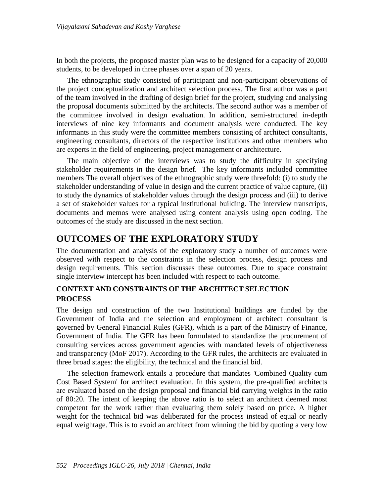In both the projects, the proposed master plan was to be designed for a capacity of 20,000 students, to be developed in three phases over a span of 20 years.

The ethnographic study consisted of participant and non-participant observations of the project conceptualization and architect selection process. The first author was a part of the team involved in the drafting of design brief for the project, studying and analysing the proposal documents submitted by the architects. The second author was a member of the committee involved in design evaluation. In addition, semi-structured in-depth interviews of nine key informants and document analysis were conducted. The key informants in this study were the committee members consisting of architect consultants, engineering consultants, directors of the respective institutions and other members who are experts in the field of engineering, project management or architecture.

The main objective of the interviews was to study the difficulty in specifying stakeholder requirements in the design brief. The key informants included committee members The overall objectives of the ethnographic study were threefold: (i) to study the stakeholder understanding of value in design and the current practice of value capture, (ii) to study the dynamics of stakeholder values through the design process and (iii) to derive a set of stakeholder values for a typical institutional building. The interview transcripts, documents and memos were analysed using content analysis using open coding. The outcomes of the study are discussed in the next section.

## **OUTCOMES OF THE EXPLORATORY STUDY**

The documentation and analysis of the exploratory study a number of outcomes were observed with respect to the constraints in the selection process, design process and design requirements. This section discusses these outcomes. Due to space constraint single interview intercept has been included with respect to each outcome.

#### **CONTEXT AND CONSTRAINTS OF THE ARCHITECT SELECTION PROCESS**

The design and construction of the two Institutional buildings are funded by the Government of India and the selection and employment of architect consultant is governed by General Financial Rules (GFR), which is a part of the Ministry of Finance, Government of India. The GFR has been formulated to standardize the procurement of consulting services across government agencies with mandated levels of objectiveness and transparency (MoF 2017). According to the GFR rules, the architects are evaluated in three broad stages: the eligibility, the technical and the financial bid.

The selection framework entails a procedure that mandates 'Combined Quality cum Cost Based System' for architect evaluation. In this system, the pre-qualified architects are evaluated based on the design proposal and financial bid carrying weights in the ratio of 80:20. The intent of keeping the above ratio is to select an architect deemed most competent for the work rather than evaluating them solely based on price. A higher weight for the technical bid was deliberated for the process instead of equal or nearly equal weightage. This is to avoid an architect from winning the bid by quoting a very low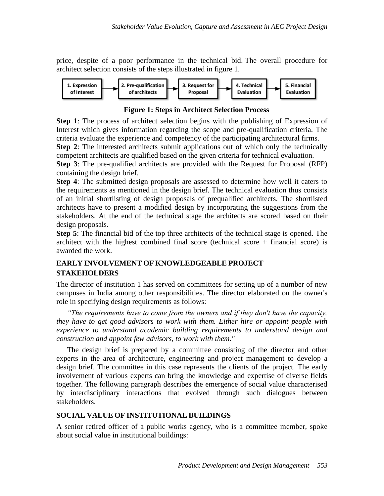price, despite of a poor performance in the technical bid. The overall procedure for architect selection consists of the steps illustrated in figure 1.



#### **Figure 1: Steps in Architect Selection Process**

**Step 1**: The process of architect selection begins with the publishing of Expression of Interest which gives information regarding the scope and pre-qualification criteria. The criteria evaluate the experience and competency of the participating architectural firms.

**Step 2**: The interested architects submit applications out of which only the technically competent architects are qualified based on the given criteria for technical evaluation.

**Step 3**: The pre-qualified architects are provided with the Request for Proposal (RFP) containing the design brief.

**Step 4**: The submitted design proposals are assessed to determine how well it caters to the requirements as mentioned in the design brief. The technical evaluation thus consists of an initial shortlisting of design proposals of prequalified architects. The shortlisted architects have to present a modified design by incorporating the suggestions from the stakeholders. At the end of the technical stage the architects are scored based on their design proposals.

**Step 5**: The financial bid of the top three architects of the technical stage is opened. The architect with the highest combined final score (technical score  $+$  financial score) is awarded the work.

#### **EARLY INVOLVEMENT OF KNOWLEDGEABLE PROJECT STAKEHOLDERS**

The director of institution 1 has served on committees for setting up of a number of new campuses in India among other responsibilities. The director elaborated on the owner's role in specifying design requirements as follows:

*"The requirements have to come from the owners and if they don't have the capacity, they have to get good advisors to work with them. Either hire or appoint people with experience to understand academic building requirements to understand design and construction and appoint few advisors, to work with them."*

The design brief is prepared by a committee consisting of the director and other experts in the area of architecture, engineering and project management to develop a design brief. The committee in this case represents the clients of the project. The early involvement of various experts can bring the knowledge and expertise of diverse fields together. The following paragraph describes the emergence of social value characterised by interdisciplinary interactions that evolved through such dialogues between stakeholders.

#### **SOCIAL VALUE OF INSTITUTIONAL BUILDINGS**

A senior retired officer of a public works agency, who is a committee member, spoke about social value in institutional buildings: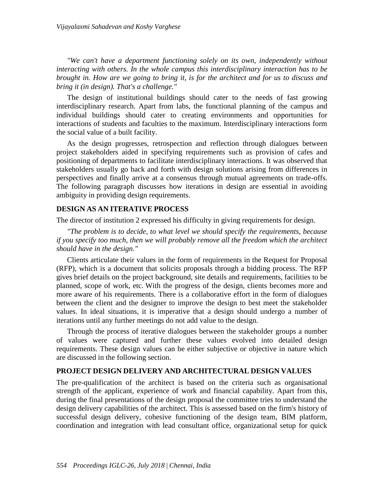*"We can't have a department functioning solely on its own, independently without interacting with others. In the whole campus this interdisciplinary interaction has to be brought in. How are we going to bring it, is for the architect and for us to discuss and bring it (in design). That's a challenge."*

The design of institutional buildings should cater to the needs of fast growing interdisciplinary research. Apart from labs, the functional planning of the campus and individual buildings should cater to creating environments and opportunities for interactions of students and faculties to the maximum. Interdisciplinary interactions form the social value of a built facility.

As the design progresses, retrospection and reflection through dialogues between project stakeholders aided in specifying requirements such as provision of cafes and positioning of departments to facilitate interdisciplinary interactions. It was observed that stakeholders usually go back and forth with design solutions arising from differences in perspectives and finally arrive at a consensus through mutual agreements on trade-offs. The following paragraph discusses how iterations in design are essential in avoiding ambiguity in providing design requirements.

#### **DESIGN AS AN ITERATIVE PROCESS**

The director of institution 2 expressed his difficulty in giving requirements for design.

*"The problem is to decide, to what level we should specify the requirements, because if you specify too much, then we will probably remove all the freedom which the architect should have in the design."*

Clients articulate their values in the form of requirements in the Request for Proposal (RFP), which is a document that solicits proposals through a bidding process. The RFP gives brief details on the project background, site details and requirements, facilities to be planned, scope of work, etc. With the progress of the design, clients becomes more and more aware of his requirements. There is a collaborative effort in the form of dialogues between the client and the designer to improve the design to best meet the stakeholder values. In ideal situations, it is imperative that a design should undergo a number of iterations until any further meetings do not add value to the design.

Through the process of iterative dialogues between the stakeholder groups a number of values were captured and further these values evolved into detailed design requirements. These design values can be either subjective or objective in nature which are discussed in the following section.

#### **PROJECT DESIGN DELIVERY AND ARCHITECTURAL DESIGN VALUES**

The pre-qualification of the architect is based on the criteria such as organisational strength of the applicant, experience of work and financial capability. Apart from this, during the final presentations of the design proposal the committee tries to understand the design delivery capabilities of the architect. This is assessed based on the firm's history of successful design delivery, cohesive functioning of the design team, BIM platform, coordination and integration with lead consultant office, organizational setup for quick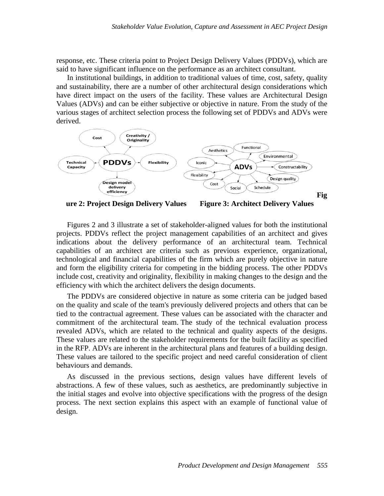response, etc. These criteria point to Project Design Delivery Values (PDDVs), which are said to have significant influence on the performance as an architect consultant.

In institutional buildings, in addition to traditional values of time, cost, safety, quality and sustainability, there are a number of other architectural design considerations which have direct impact on the users of the facility. These values are Architectural Design Values (ADVs) and can be either subjective or objective in nature. From the study of the various stages of architect selection process the following set of PDDVs and ADVs were derived.



**ure 2: Project Design Delivery Values Figure 3: Architect Delivery Values**

Figures 2 and 3 illustrate a set of stakeholder-aligned values for both the institutional projects. PDDVs reflect the project management capabilities of an architect and gives indications about the delivery performance of an architectural team. Technical capabilities of an architect are criteria such as previous experience, organizational, technological and financial capabilities of the firm which are purely objective in nature and form the eligibility criteria for competing in the bidding process. The other PDDVs include cost, creativity and originality, flexibility in making changes to the design and the efficiency with which the architect delivers the design documents.

The PDDVs are considered objective in nature as some criteria can be judged based on the quality and scale of the team's previously delivered projects and others that can be tied to the contractual agreement. These values can be associated with the character and commitment of the architectural team. The study of the technical evaluation process revealed ADVs, which are related to the technical and quality aspects of the designs. These values are related to the stakeholder requirements for the built facility as specified in the RFP. ADVs are inherent in the architectural plans and features of a building design. These values are tailored to the specific project and need careful consideration of client behaviours and demands.

As discussed in the previous sections, design values have different levels of abstractions. A few of these values, such as aesthetics, are predominantly subjective in the initial stages and evolve into objective specifications with the progress of the design process. The next section explains this aspect with an example of functional value of design.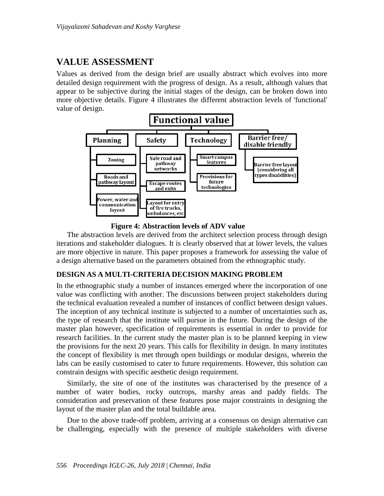## **VALUE ASSESSMENT**

Values as derived from the design brief are usually abstract which evolves into more detailed design requirement with the progress of design. As a result, although values that appear to be subjective during the initial stages of the design, can be broken down into more objective details. Figure 4 illustrates the different abstraction levels of 'functional' value of design.



 **Figure 4: Abstraction levels of ADV value**

The abstraction levels are derived from the architect selection process through design iterations and stakeholder dialogues. It is clearly observed that at lower levels, the values are more objective in nature. This paper proposes a framework for assessing the value of a design alternative based on the parameters obtained from the ethnographic study.

#### **DESIGN AS A MULTI-CRITERIA DECISION MAKING PROBLEM**

In the ethnographic study a number of instances emerged where the incorporation of one value was conflicting with another. The discussions between project stakeholders during the technical evaluation revealed a number of instances of conflict between design values. The inception of any technical institute is subjected to a number of uncertainties such as, the type of research that the institute will pursue in the future. During the design of the master plan however, specification of requirements is essential in order to provide for research facilities. In the current study the master plan is to be planned keeping in view the provisions for the next 20 years. This calls for flexibility in design. In many institutes the concept of flexibility is met through open buildings or modular designs, wherein the labs can be easily customised to cater to future requirements. However, this solution can constrain designs with specific aesthetic design requirement.

Similarly, the site of one of the institutes was characterised by the presence of a number of water bodies, rocky outcrops, marshy areas and paddy fields. The consideration and preservation of these features pose major constraints in designing the layout of the master plan and the total buildable area.

Due to the above trade-off problem, arriving at a consensus on design alternative can be challenging, especially with the presence of multiple stakeholders with diverse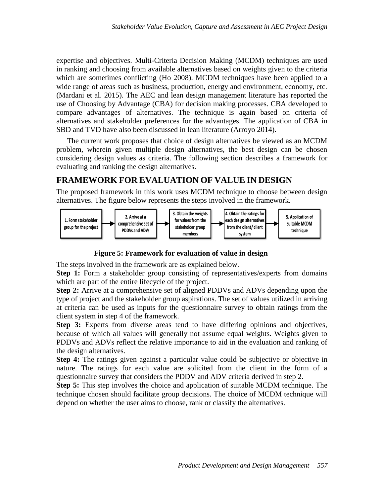expertise and objectives. Multi-Criteria Decision Making (MCDM) techniques are used in ranking and choosing from available alternatives based on weights given to the criteria which are sometimes conflicting (Ho 2008). MCDM techniques have been applied to a wide range of areas such as business, production, energy and environment, economy, etc. (Mardani et al. 2015). The AEC and lean design management literature has reported the use of Choosing by Advantage (CBA) for decision making processes. CBA developed to compare advantages of alternatives. The technique is again based on criteria of alternatives and stakeholder preferences for the advantages. The application of CBA in SBD and TVD have also been discussed in lean literature (Arroyo 2014).

The current work proposes that choice of design alternatives be viewed as an MCDM problem, wherein given multiple design alternatives, the best design can be chosen considering design values as criteria. The following section describes a framework for evaluating and ranking the design alternatives.

### **FRAMEWORK FOR EVALUATION OF VALUE IN DESIGN**

The proposed framework in this work uses MCDM technique to choose between design alternatives. The figure below represents the steps involved in the framework.



 **Figure 5: Framework for evaluation of value in design**

The steps involved in the framework are as explained below.

**Step 1:** Form a stakeholder group consisting of representatives/experts from domains which are part of the entire lifecycle of the project.

**Step 2:** Arrive at a comprehensive set of aligned PDDVs and ADVs depending upon the type of project and the stakeholder group aspirations. The set of values utilized in arriving at criteria can be used as inputs for the questionnaire survey to obtain ratings from the client system in step 4 of the framework.

**Step 3:** Experts from diverse areas tend to have differing opinions and objectives, because of which all values will generally not assume equal weights. Weights given to PDDVs and ADVs reflect the relative importance to aid in the evaluation and ranking of the design alternatives.

**Step 4:** The ratings given against a particular value could be subjective or objective in nature. The ratings for each value are solicited from the client in the form of a questionnaire survey that considers the PDDV and ADV criteria derived in step 2.

**Step 5:** This step involves the choice and application of suitable MCDM technique. The technique chosen should facilitate group decisions. The choice of MCDM technique will depend on whether the user aims to choose, rank or classify the alternatives.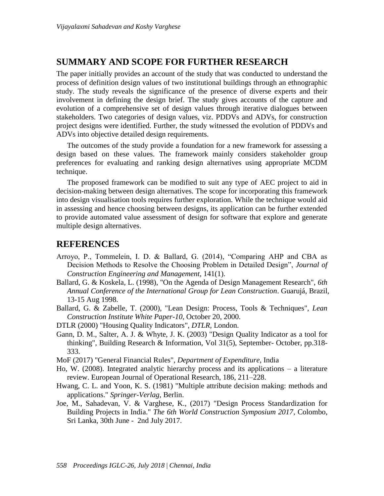### **SUMMARY AND SCOPE FOR FURTHER RESEARCH**

The paper initially provides an account of the study that was conducted to understand the process of definition design values of two institutional buildings through an ethnographic study. The study reveals the significance of the presence of diverse experts and their involvement in defining the design brief. The study gives accounts of the capture and evolution of a comprehensive set of design values through iterative dialogues between stakeholders. Two categories of design values, viz. PDDVs and ADVs, for construction project designs were identified. Further, the study witnessed the evolution of PDDVs and ADVs into objective detailed design requirements.

The outcomes of the study provide a foundation for a new framework for assessing a design based on these values. The framework mainly considers stakeholder group preferences for evaluating and ranking design alternatives using appropriate MCDM technique.

The proposed framework can be modified to suit any type of AEC project to aid in decision-making between design alternatives. The scope for incorporating this framework into design visualisation tools requires further exploration. While the technique would aid in assessing and hence choosing between designs, its application can be further extended to provide automated value assessment of design for software that explore and generate multiple design alternatives.

### **REFERENCES**

- Arroyo, P., Tommelein, I. D. & Ballard, G. (2014), "Comparing AHP and CBA as Decision Methods to Resolve the Choosing Problem in Detailed Design", *Journal of Construction Engineering and Management*, 141(1).
- Ballard, G. & Koskela, L. (1998), "On the Agenda of Design Management Research", *6th Annual Conference of the International Group for Lean Construction*. Guarujá, Brazil, 13-15 Aug 1998.
- Ballard, G. & Zabelle, T. (2000), "Lean Design: Process, Tools & Techniques", *Lean Construction Institute White Paper-10*, October 20, 2000.
- DTLR (2000) "Housing Quality Indicators", *DTLR*, London.
- Gann, D. M., Salter, A. J. & Whyte, J. K. (2003) "Design Quality Indicator as a tool for thinking", Building Research & Information, Vol 31(5), September- October, pp.318- 333.
- MoF (2017) "General Financial Rules", *Department of Expenditure*, India
- Ho, W. (2008). Integrated analytic hierarchy process and its applications a literature review. European Journal of Operational Research, 186, 211–228.
- Hwang, C. L. and Yoon, K. S. (1981) "Multiple attribute decision making: methods and applications." *Springer-Verlag*, Berlin.
- Joe, M., Sahadevan, V. & Varghese, K., (2017) "Design Process Standardization for Building Projects in India." *The 6th World Construction Symposium 2017*, Colombo, Sri Lanka, 30th June - 2nd July 2017.